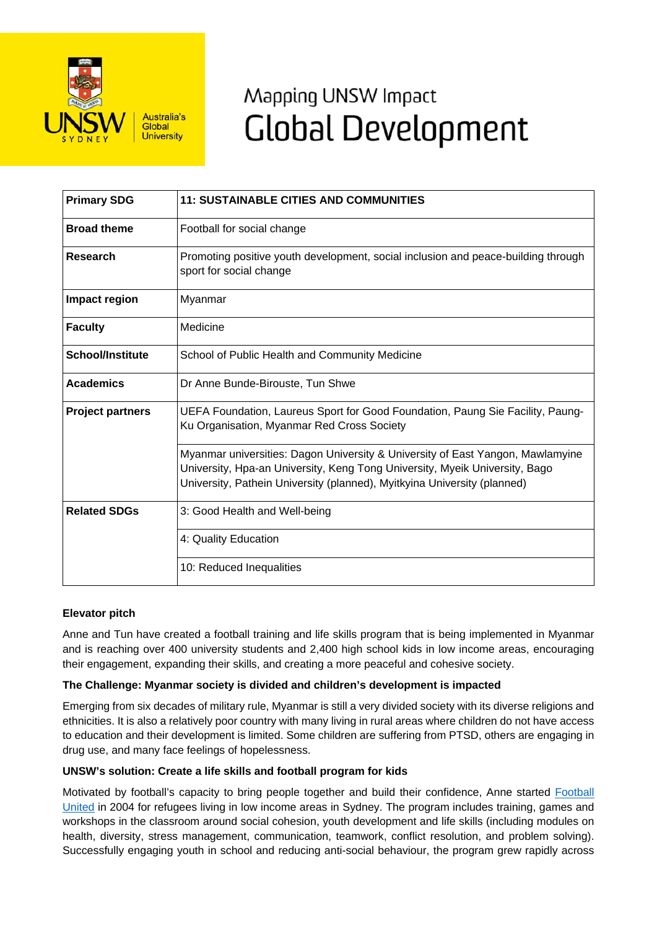

# Mapping UNSW Impact **Global Development**

| <b>Primary SDG</b>      | <b>11: SUSTAINABLE CITIES AND COMMUNITIES</b>                                                                                                                                                                                             |
|-------------------------|-------------------------------------------------------------------------------------------------------------------------------------------------------------------------------------------------------------------------------------------|
| <b>Broad theme</b>      | Football for social change                                                                                                                                                                                                                |
| Research                | Promoting positive youth development, social inclusion and peace-building through<br>sport for social change                                                                                                                              |
| Impact region           | Myanmar                                                                                                                                                                                                                                   |
| <b>Faculty</b>          | Medicine                                                                                                                                                                                                                                  |
| <b>School/Institute</b> | School of Public Health and Community Medicine                                                                                                                                                                                            |
| <b>Academics</b>        | Dr Anne Bunde-Birouste, Tun Shwe                                                                                                                                                                                                          |
| <b>Project partners</b> | UEFA Foundation, Laureus Sport for Good Foundation, Paung Sie Facility, Paung-<br>Ku Organisation, Myanmar Red Cross Society                                                                                                              |
|                         | Myanmar universities: Dagon University & University of East Yangon, Mawlamyine<br>University, Hpa-an University, Keng Tong University, Myeik University, Bago<br>University, Pathein University (planned), Myitkyina University (planned) |
| <b>Related SDGs</b>     | 3: Good Health and Well-being                                                                                                                                                                                                             |
|                         | 4: Quality Education                                                                                                                                                                                                                      |
|                         | 10: Reduced Inequalities                                                                                                                                                                                                                  |

## **Elevator pitch**

Anne and Tun have created a football training and life skills program that is being implemented in Myanmar and is reaching over 400 university students and 2,400 high school kids in low income areas, encouraging their engagement, expanding their skills, and creating a more peaceful and cohesive society.

## **The Challenge: Myanmar society is divided and children's development is impacted**

Emerging from six decades of military rule, Myanmar is still a very divided society with its diverse religions and ethnicities. It is also a relatively poor country with many living in rural areas where children do not have access to education and their development is limited. Some children are suffering from PTSD, others are engaging in drug use, and many face feelings of hopelessness.

## **UNSW's solution: Create a life skills and football program for kids**

Motivated by football's capacity to bring people together and build their confidence, Anne started Football United in 2004 for refugees living in low income areas in Sydney. The program includes training, games and workshops in the classroom around social cohesion, youth development and life skills (including modules on health, diversity, stress management, communication, teamwork, conflict resolution, and problem solving). Successfully engaging youth in school and reducing anti-social behaviour, the program grew rapidly across